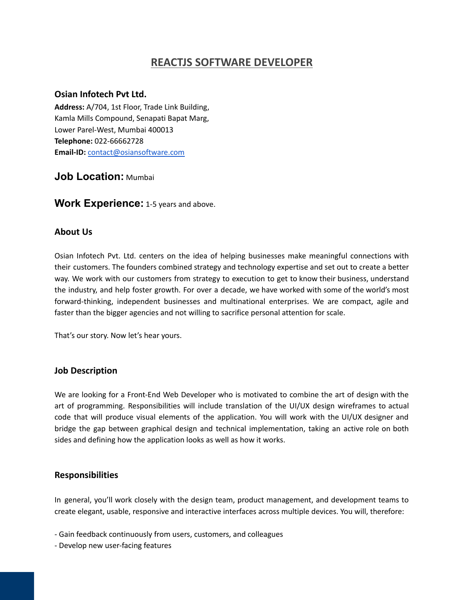# **REACTJS SOFTWARE DEVELOPER**

#### **Osian Infotech Pvt Ltd.**

**Address:** A/704, 1st Floor, Trade Link Building, Kamla Mills Compound, Senapati Bapat Marg, Lower Parel-West, Mumbai 400013 **Telephone:** 022-66662728 **Email-ID:** [contact@osiansoftware.com](mailto:contact@osiansoftware.com)

# **Job Location:** Mumbai

**Work Experience:** 1-5 years and above.

## **About Us**

Osian Infotech Pvt. Ltd. centers on the idea of helping businesses make meaningful connections with their customers. The founders combined strategy and technology expertise and set out to create a better way. We work with our customers from strategy to execution to get to know their business, understand the industry, and help foster growth. For over a decade, we have worked with some of the world's most forward-thinking, independent businesses and multinational enterprises. We are compact, agile and faster than the bigger agencies and not willing to sacrifice personal attention for scale.

That's our story. Now let's hear yours.

#### **Job Description**

We are looking for a Front-End Web Developer who is motivated to combine the art of design with the art of programming. Responsibilities will include translation of the UI/UX design wireframes to actual code that will produce visual elements of the application. You will work with the UI/UX designer and bridge the gap between graphical design and technical implementation, taking an active role on both sides and defining how the application looks as well as how it works.

#### **Responsibilities**

In general, you'll work closely with the design team, product management, and development teams to create elegant, usable, responsive and interactive interfaces across multiple [devices](https://devskiller.com/recruiting-tools/). You will, therefore:

- Gain feedback continuously from users, customers, and colleagues
- Develop new user-facing features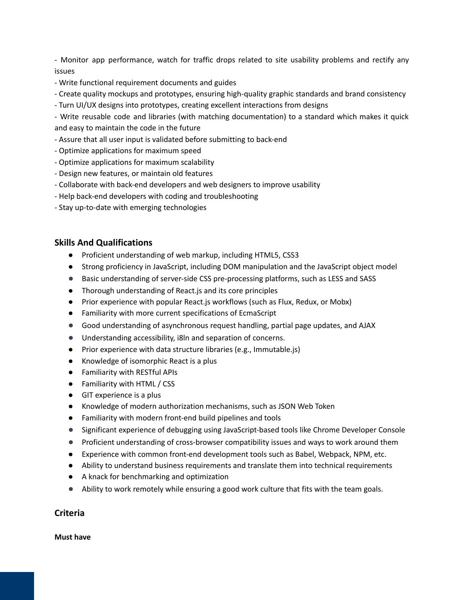- Monitor app performance, watch for traffic drops related to site usability problems and rectify any issues

- Write functional requirement documents and guides
- Create quality mockups and prototypes, ensuring high-quality graphic standards and brand consistency
- Turn UI/UX designs into prototypes, creating excellent interactions from designs

- Write reusable code and libraries (with matching documentation) to a standard which makes it quick and easy to maintain the code in the future

- Assure that all user input is validated before submitting to back-end
- Optimize applications for maximum speed
- Optimize applications for maximum scalability
- Design new features, or maintain old features
- Collaborate with back-end developers and web designers to improve usability
- Help back-end developers with coding and troubleshooting
- Stay up-to-date with emerging technologies

### **Skills And Qualifications**

- Proficient understanding of web markup, including HTML5, CSS3
- Strong proficiency in JavaScript, including DOM manipulation and the JavaScript object model
- Basic understanding of server-side CSS pre-processing platforms, such as LESS and SASS
- Thorough understanding of React.js and its core principles
- Prior experience with popular React.js workflows (such as Flux, Redux, or Mobx)
- Familiarity with more current specifications of EcmaScript
- Good understanding of asynchronous request handling, partial page updates, and AJAX
- Understanding accessibility, i8ln and separation of concerns.
- Prior experience with data structure libraries (e.g., Immutable.js)
- Knowledge of isomorphic React is a plus
- Familiarity with RESTful APIs
- Familiarity with HTML / CSS
- GIT experience is a plus
- Knowledge of modern authorization mechanisms, such as JSON Web Token
- Familiarity with modern front-end build pipelines and tools
- Significant experience of debugging using JavaScript-based tools like Chrome Developer Console
- Proficient understanding of cross-browser compatibility issues and ways to work around them
- Experience with common front-end development tools such as Babel, Webpack, NPM, etc.
- Ability to understand business requirements and translate them into technical requirements
- A knack for benchmarking and optimization
- Ability to work remotely while ensuring a good work culture that fits with the team goals.

#### **Criteria**

#### **Must have**